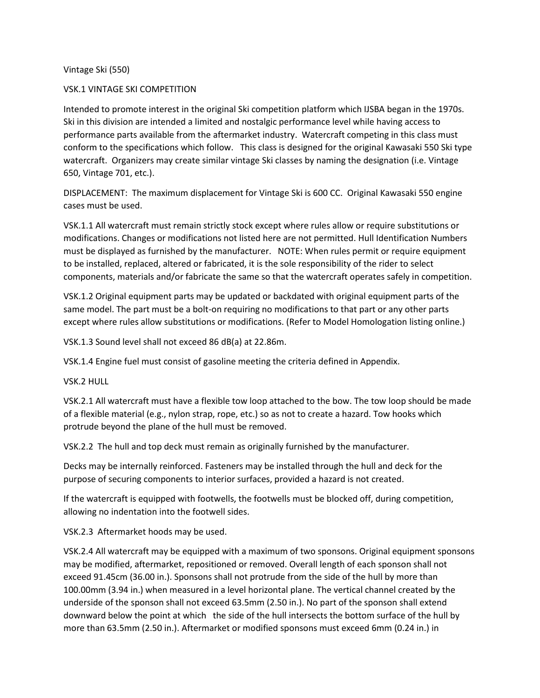Vintage Ski (550)

## VSK.1 VINTAGE SKI COMPETITION

Intended to promote interest in the original Ski competition platform which IJSBA began in the 1970s. Ski in this division are intended a limited and nostalgic performance level while having access to performance parts available from the aftermarket industry. Watercraft competing in this class must conform to the specifications which follow. This class is designed for the original Kawasaki 550 Ski type watercraft. Organizers may create similar vintage Ski classes by naming the designation (i.e. Vintage 650, Vintage 701, etc.).

DISPLACEMENT: The maximum displacement for Vintage Ski is 600 CC. Original Kawasaki 550 engine cases must be used.

VSK.1.1 All watercraft must remain strictly stock except where rules allow or require substitutions or modifications. Changes or modifications not listed here are not permitted. Hull Identification Numbers must be displayed as furnished by the manufacturer. NOTE: When rules permit or require equipment to be installed, replaced, altered or fabricated, it is the sole responsibility of the rider to select components, materials and/or fabricate the same so that the watercraft operates safely in competition.

VSK.1.2 Original equipment parts may be updated or backdated with original equipment parts of the same model. The part must be a bolt-on requiring no modifications to that part or any other parts except where rules allow substitutions or modifications. (Refer to Model Homologation listing online.)

VSK.1.3 Sound level shall not exceed 86 dB(a) at 22.86m.

VSK.1.4 Engine fuel must consist of gasoline meeting the criteria defined in Appendix.

VSK.2 HULL

VSK.2.1 All watercraft must have a flexible tow loop attached to the bow. The tow loop should be made of a flexible material (e.g., nylon strap, rope, etc.) so as not to create a hazard. Tow hooks which protrude beyond the plane of the hull must be removed.

VSK.2.2 The hull and top deck must remain as originally furnished by the manufacturer.

Decks may be internally reinforced. Fasteners may be installed through the hull and deck for the purpose of securing components to interior surfaces, provided a hazard is not created.

If the watercraft is equipped with footwells, the footwells must be blocked off, during competition, allowing no indentation into the footwell sides.

VSK.2.3 Aftermarket hoods may be used.

VSK.2.4 All watercraft may be equipped with a maximum of two sponsons. Original equipment sponsons may be modified, aftermarket, repositioned or removed. Overall length of each sponson shall not exceed 91.45cm (36.00 in.). Sponsons shall not protrude from the side of the hull by more than 100.00mm (3.94 in.) when measured in a level horizontal plane. The vertical channel created by the underside of the sponson shall not exceed 63.5mm (2.50 in.). No part of the sponson shall extend downward below the point at which the side of the hull intersects the bottom surface of the hull by more than 63.5mm (2.50 in.). Aftermarket or modified sponsons must exceed 6mm (0.24 in.) in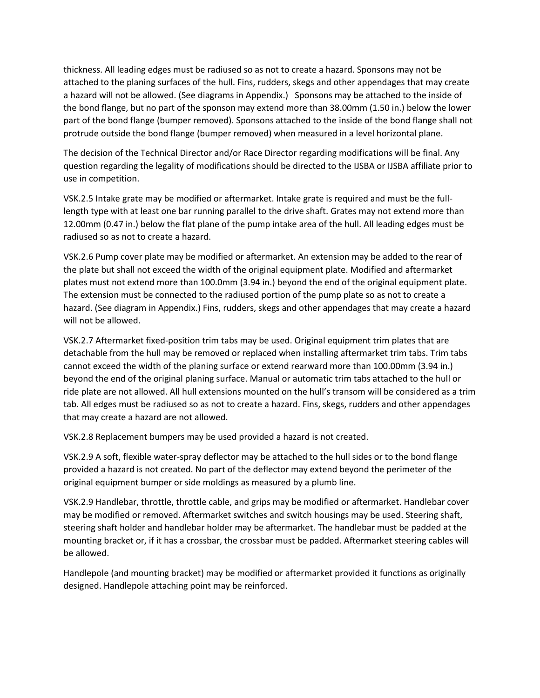thickness. All leading edges must be radiused so as not to create a hazard. Sponsons may not be attached to the planing surfaces of the hull. Fins, rudders, skegs and other appendages that may create a hazard will not be allowed. (See diagrams in Appendix.) Sponsons may be attached to the inside of the bond flange, but no part of the sponson may extend more than 38.00mm (1.50 in.) below the lower part of the bond flange (bumper removed). Sponsons attached to the inside of the bond flange shall not protrude outside the bond flange (bumper removed) when measured in a level horizontal plane.

The decision of the Technical Director and/or Race Director regarding modifications will be final. Any question regarding the legality of modifications should be directed to the IJSBA or IJSBA affiliate prior to use in competition.

VSK.2.5 Intake grate may be modified or aftermarket. Intake grate is required and must be the fulllength type with at least one bar running parallel to the drive shaft. Grates may not extend more than 12.00mm (0.47 in.) below the flat plane of the pump intake area of the hull. All leading edges must be radiused so as not to create a hazard.

VSK.2.6 Pump cover plate may be modified or aftermarket. An extension may be added to the rear of the plate but shall not exceed the width of the original equipment plate. Modified and aftermarket plates must not extend more than 100.0mm (3.94 in.) beyond the end of the original equipment plate. The extension must be connected to the radiused portion of the pump plate so as not to create a hazard. (See diagram in Appendix.) Fins, rudders, skegs and other appendages that may create a hazard will not be allowed.

VSK.2.7 Aftermarket fixed-position trim tabs may be used. Original equipment trim plates that are detachable from the hull may be removed or replaced when installing aftermarket trim tabs. Trim tabs cannot exceed the width of the planing surface or extend rearward more than 100.00mm (3.94 in.) beyond the end of the original planing surface. Manual or automatic trim tabs attached to the hull or ride plate are not allowed. All hull extensions mounted on the hull's transom will be considered as a trim tab. All edges must be radiused so as not to create a hazard. Fins, skegs, rudders and other appendages that may create a hazard are not allowed.

VSK.2.8 Replacement bumpers may be used provided a hazard is not created.

VSK.2.9 A soft, flexible water-spray deflector may be attached to the hull sides or to the bond flange provided a hazard is not created. No part of the deflector may extend beyond the perimeter of the original equipment bumper or side moldings as measured by a plumb line.

VSK.2.9 Handlebar, throttle, throttle cable, and grips may be modified or aftermarket. Handlebar cover may be modified or removed. Aftermarket switches and switch housings may be used. Steering shaft, steering shaft holder and handlebar holder may be aftermarket. The handlebar must be padded at the mounting bracket or, if it has a crossbar, the crossbar must be padded. Aftermarket steering cables will be allowed.

Handlepole (and mounting bracket) may be modified or aftermarket provided it functions as originally designed. Handlepole attaching point may be reinforced.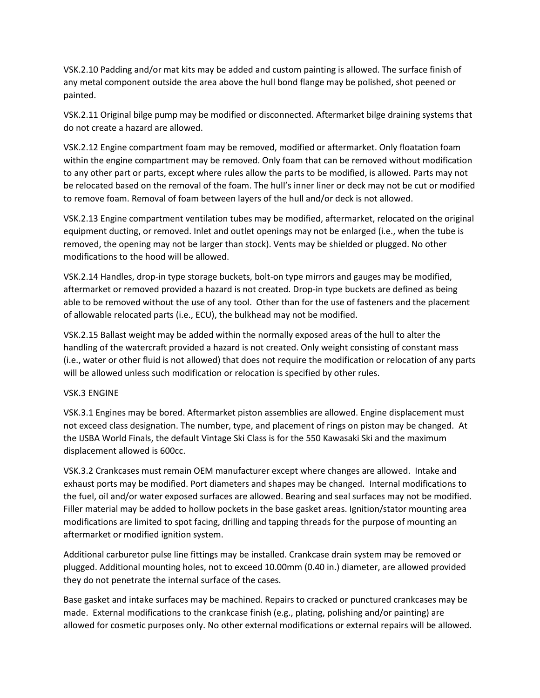VSK.2.10 Padding and/or mat kits may be added and custom painting is allowed. The surface finish of any metal component outside the area above the hull bond flange may be polished, shot peened or painted.

VSK.2.11 Original bilge pump may be modified or disconnected. Aftermarket bilge draining systems that do not create a hazard are allowed.

VSK.2.12 Engine compartment foam may be removed, modified or aftermarket. Only floatation foam within the engine compartment may be removed. Only foam that can be removed without modification to any other part or parts, except where rules allow the parts to be modified, is allowed. Parts may not be relocated based on the removal of the foam. The hull's inner liner or deck may not be cut or modified to remove foam. Removal of foam between layers of the hull and/or deck is not allowed.

VSK.2.13 Engine compartment ventilation tubes may be modified, aftermarket, relocated on the original equipment ducting, or removed. Inlet and outlet openings may not be enlarged (i.e., when the tube is removed, the opening may not be larger than stock). Vents may be shielded or plugged. No other modifications to the hood will be allowed.

VSK.2.14 Handles, drop-in type storage buckets, bolt-on type mirrors and gauges may be modified, aftermarket or removed provided a hazard is not created. Drop-in type buckets are defined as being able to be removed without the use of any tool. Other than for the use of fasteners and the placement of allowable relocated parts (i.e., ECU), the bulkhead may not be modified.

VSK.2.15 Ballast weight may be added within the normally exposed areas of the hull to alter the handling of the watercraft provided a hazard is not created. Only weight consisting of constant mass (i.e., water or other fluid is not allowed) that does not require the modification or relocation of any parts will be allowed unless such modification or relocation is specified by other rules.

## VSK.3 ENGINE

VSK.3.1 Engines may be bored. Aftermarket piston assemblies are allowed. Engine displacement must not exceed class designation. The number, type, and placement of rings on piston may be changed. At the IJSBA World Finals, the default Vintage Ski Class is for the 550 Kawasaki Ski and the maximum displacement allowed is 600cc.

VSK.3.2 Crankcases must remain OEM manufacturer except where changes are allowed. Intake and exhaust ports may be modified. Port diameters and shapes may be changed. Internal modifications to the fuel, oil and/or water exposed surfaces are allowed. Bearing and seal surfaces may not be modified. Filler material may be added to hollow pockets in the base gasket areas. Ignition/stator mounting area modifications are limited to spot facing, drilling and tapping threads for the purpose of mounting an aftermarket or modified ignition system.

Additional carburetor pulse line fittings may be installed. Crankcase drain system may be removed or plugged. Additional mounting holes, not to exceed 10.00mm (0.40 in.) diameter, are allowed provided they do not penetrate the internal surface of the cases.

Base gasket and intake surfaces may be machined. Repairs to cracked or punctured crankcases may be made. External modifications to the crankcase finish (e.g., plating, polishing and/or painting) are allowed for cosmetic purposes only. No other external modifications or external repairs will be allowed.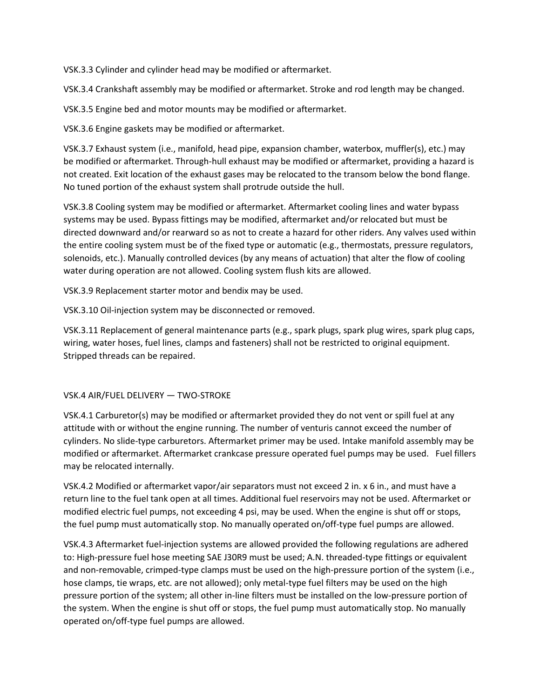VSK.3.3 Cylinder and cylinder head may be modified or aftermarket.

VSK.3.4 Crankshaft assembly may be modified or aftermarket. Stroke and rod length may be changed.

VSK.3.5 Engine bed and motor mounts may be modified or aftermarket.

VSK.3.6 Engine gaskets may be modified or aftermarket.

VSK.3.7 Exhaust system (i.e., manifold, head pipe, expansion chamber, waterbox, muffler(s), etc.) may be modified or aftermarket. Through-hull exhaust may be modified or aftermarket, providing a hazard is not created. Exit location of the exhaust gases may be relocated to the transom below the bond flange. No tuned portion of the exhaust system shall protrude outside the hull.

VSK.3.8 Cooling system may be modified or aftermarket. Aftermarket cooling lines and water bypass systems may be used. Bypass fittings may be modified, aftermarket and/or relocated but must be directed downward and/or rearward so as not to create a hazard for other riders. Any valves used within the entire cooling system must be of the fixed type or automatic (e.g., thermostats, pressure regulators, solenoids, etc.). Manually controlled devices (by any means of actuation) that alter the flow of cooling water during operation are not allowed. Cooling system flush kits are allowed.

VSK.3.9 Replacement starter motor and bendix may be used.

VSK.3.10 Oil-injection system may be disconnected or removed.

VSK.3.11 Replacement of general maintenance parts (e.g., spark plugs, spark plug wires, spark plug caps, wiring, water hoses, fuel lines, clamps and fasteners) shall not be restricted to original equipment. Stripped threads can be repaired.

## VSK.4 AIR/FUEL DELIVERY — TWO-STROKE

VSK.4.1 Carburetor(s) may be modified or aftermarket provided they do not vent or spill fuel at any attitude with or without the engine running. The number of venturis cannot exceed the number of cylinders. No slide-type carburetors. Aftermarket primer may be used. Intake manifold assembly may be modified or aftermarket. Aftermarket crankcase pressure operated fuel pumps may be used. Fuel fillers may be relocated internally.

VSK.4.2 Modified or aftermarket vapor/air separators must not exceed 2 in. x 6 in., and must have a return line to the fuel tank open at all times. Additional fuel reservoirs may not be used. Aftermarket or modified electric fuel pumps, not exceeding 4 psi, may be used. When the engine is shut off or stops, the fuel pump must automatically stop. No manually operated on/off-type fuel pumps are allowed.

VSK.4.3 Aftermarket fuel-injection systems are allowed provided the following regulations are adhered to: High-pressure fuel hose meeting SAE J30R9 must be used; A.N. threaded-type fittings or equivalent and non-removable, crimped-type clamps must be used on the high-pressure portion of the system (i.e., hose clamps, tie wraps, etc. are not allowed); only metal-type fuel filters may be used on the high pressure portion of the system; all other in-line filters must be installed on the low-pressure portion of the system. When the engine is shut off or stops, the fuel pump must automatically stop. No manually operated on/off-type fuel pumps are allowed.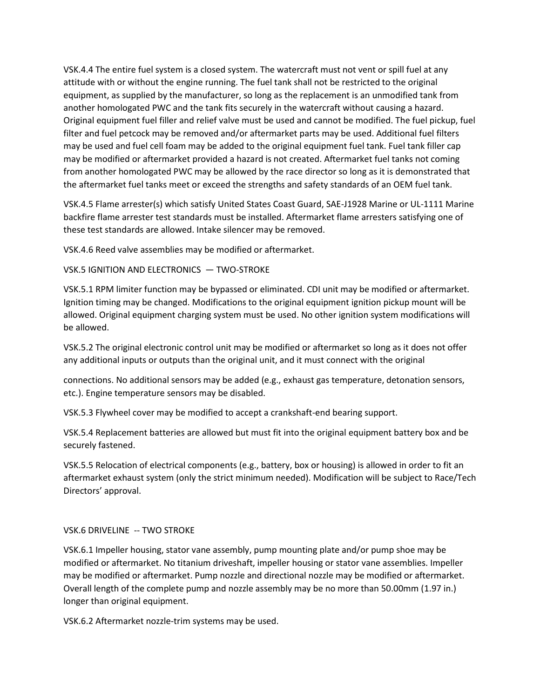VSK.4.4 The entire fuel system is a closed system. The watercraft must not vent or spill fuel at any attitude with or without the engine running. The fuel tank shall not be restricted to the original equipment, as supplied by the manufacturer, so long as the replacement is an unmodified tank from another homologated PWC and the tank fits securely in the watercraft without causing a hazard. Original equipment fuel filler and relief valve must be used and cannot be modified. The fuel pickup, fuel filter and fuel petcock may be removed and/or aftermarket parts may be used. Additional fuel filters may be used and fuel cell foam may be added to the original equipment fuel tank. Fuel tank filler cap may be modified or aftermarket provided a hazard is not created. Aftermarket fuel tanks not coming from another homologated PWC may be allowed by the race director so long as it is demonstrated that the aftermarket fuel tanks meet or exceed the strengths and safety standards of an OEM fuel tank.

VSK.4.5 Flame arrester(s) which satisfy United States Coast Guard, SAE-J1928 Marine or UL-1111 Marine backfire flame arrester test standards must be installed. Aftermarket flame arresters satisfying one of these test standards are allowed. Intake silencer may be removed.

VSK.4.6 Reed valve assemblies may be modified or aftermarket.

VSK.5 IGNITION AND ELECTRONICS — TWO-STROKE

VSK.5.1 RPM limiter function may be bypassed or eliminated. CDI unit may be modified or aftermarket. Ignition timing may be changed. Modifications to the original equipment ignition pickup mount will be allowed. Original equipment charging system must be used. No other ignition system modifications will be allowed.

VSK.5.2 The original electronic control unit may be modified or aftermarket so long as it does not offer any additional inputs or outputs than the original unit, and it must connect with the original

connections. No additional sensors may be added (e.g., exhaust gas temperature, detonation sensors, etc.). Engine temperature sensors may be disabled.

VSK.5.3 Flywheel cover may be modified to accept a crankshaft-end bearing support.

VSK.5.4 Replacement batteries are allowed but must fit into the original equipment battery box and be securely fastened.

VSK.5.5 Relocation of electrical components (e.g., battery, box or housing) is allowed in order to fit an aftermarket exhaust system (only the strict minimum needed). Modification will be subject to Race/Tech Directors' approval.

## VSK.6 DRIVELINE -- TWO STROKE

VSK.6.1 Impeller housing, stator vane assembly, pump mounting plate and/or pump shoe may be modified or aftermarket. No titanium driveshaft, impeller housing or stator vane assemblies. Impeller may be modified or aftermarket. Pump nozzle and directional nozzle may be modified or aftermarket. Overall length of the complete pump and nozzle assembly may be no more than 50.00mm (1.97 in.) longer than original equipment.

VSK.6.2 Aftermarket nozzle-trim systems may be used.